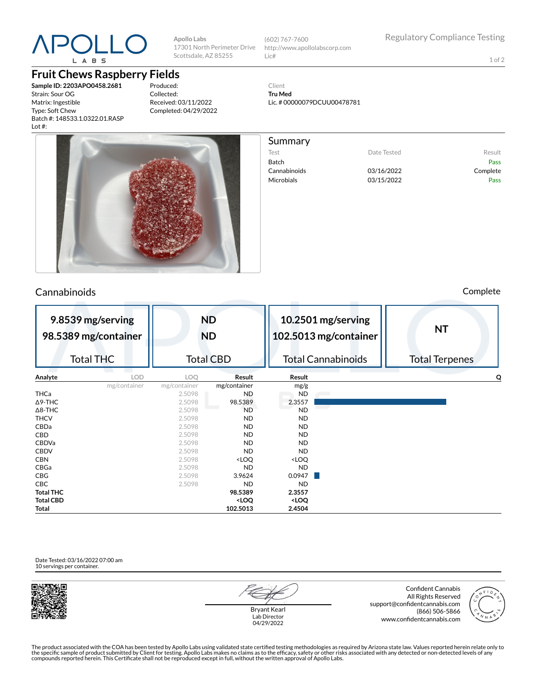

# **Fruit Chews Raspberry Fields**

**Sample ID: 2203APO0458.2681** Strain: Sour OG Matrix: Ingestible Type: Soft Chew Batch #: 148533.1.0322.01.RASP Lot #:

Produced: Collected: Received: 03/11/2022 Completed: 04/29/2022

**Apollo Labs**

Scottsdale, AZ 85255



### Cannabinoids Complete



1 of 2

Client **Tru Med** Lic. # 00000079DCUU00478781

Summary Test **Date Tested** Result Batch Pass Cannabinoids 03/16/2022 Complete

Microbials 03/15/2022 Pass

| 9.8539 mg/serving<br>98.5389 mg/container |                  | <b>ND</b><br><b>ND</b> |                                                                   | 10.2501 mg/serving<br>102.5013 mg/container |                           | <b>NT</b>             |  |
|-------------------------------------------|------------------|------------------------|-------------------------------------------------------------------|---------------------------------------------|---------------------------|-----------------------|--|
|                                           | <b>Total THC</b> |                        | <b>Total CBD</b>                                                  |                                             | <b>Total Cannabinoids</b> | <b>Total Terpenes</b> |  |
| Analyte                                   | <b>LOD</b>       | LOQ                    | Result                                                            | Result                                      |                           | O                     |  |
|                                           | mg/container     | mg/container           | mg/container                                                      | mg/g                                        |                           |                       |  |
| <b>THCa</b>                               |                  | 2.5098                 | ND                                                                | ND                                          |                           |                       |  |
| $\Delta$ 9-THC                            |                  | 2.5098                 | 98.5389                                                           | 2.3557                                      |                           |                       |  |
| $\Delta$ 8-THC                            |                  | 2.5098                 | <b>ND</b>                                                         | ND                                          |                           |                       |  |
| <b>THCV</b>                               |                  | 2.5098                 | ND                                                                | ND                                          |                           |                       |  |
| CBDa                                      |                  | 2.5098                 | <b>ND</b>                                                         | ND.                                         |                           |                       |  |
| CBD                                       |                  | 2.5098                 | ND                                                                | ND                                          |                           |                       |  |
| <b>CBDVa</b>                              |                  | 2.5098                 | ND                                                                | <b>ND</b>                                   |                           |                       |  |
| <b>CBDV</b>                               |                  | 2.5098                 | ND                                                                | ND                                          |                           |                       |  |
| <b>CBN</b>                                |                  | 2.5098                 | <loq< td=""><td><loq< td=""><td></td><td></td></loq<></td></loq<> | <loq< td=""><td></td><td></td></loq<>       |                           |                       |  |
| CBGa                                      |                  | 2.5098                 | <b>ND</b>                                                         | <b>ND</b>                                   |                           |                       |  |
| CBG                                       |                  | 2.5098                 | 3.9624                                                            | 0.0947                                      |                           |                       |  |
| CBC                                       |                  | 2.5098                 | <b>ND</b>                                                         | <b>ND</b>                                   |                           |                       |  |
| <b>Total THC</b>                          |                  |                        | 98.5389                                                           | 2.3557                                      |                           |                       |  |
| <b>Total CBD</b>                          |                  |                        | <loq< td=""><td><loq< td=""><td></td><td></td></loq<></td></loq<> | <loq< td=""><td></td><td></td></loq<>       |                           |                       |  |
| Total                                     |                  |                        | 102.5013                                                          | 2.4504                                      |                           |                       |  |

Date Tested: 03/16/2022 07:00 am 10 servings per container.



Bryant Kearl Lab Director 04/29/2022

Confident Cannabis All Rights Reserved support@confidentcannabis.com (866) 506-5866 www.confidentcannabis.com



The product associated with the COA has been tested by Apollo Labs using validated state certified testing methodologies as required by Arizona state law. Values reported herein relate only to<br>the specific sample of produc